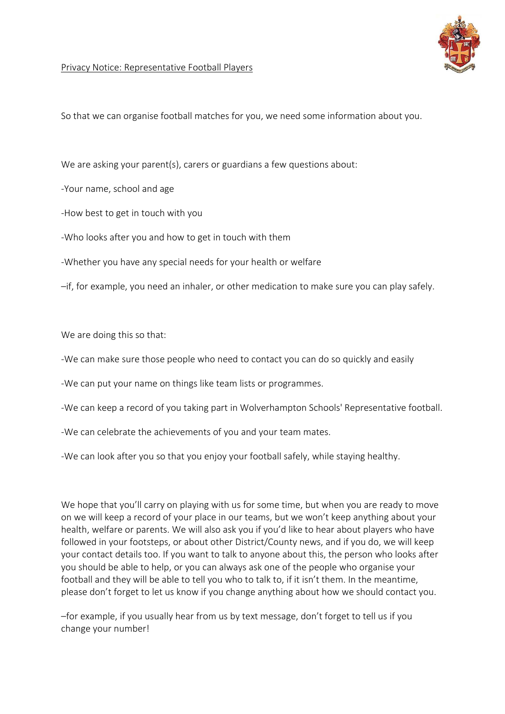

## Privacy Notice: Representative Football Players

So that we can organise football matches for you, we need some information about you.

We are asking your parent(s), carers or guardians a few questions about:

-Your name, school and age

-How best to get in touch with you

-Who looks after you and how to get in touch with them

-Whether you have any special needs for your health or welfare

–if, for example, you need an inhaler, or other medication to make sure you can play safely.

We are doing this so that:

-We can make sure those people who need to contact you can do so quickly and easily

-We can put your name on things like team lists or programmes.

-We can keep a record of you taking part in Wolverhampton Schools' Representative football.

-We can celebrate the achievements of you and your team mates.

-We can look after you so that you enjoy your football safely, while staying healthy.

We hope that you'll carry on playing with us for some time, but when you are ready to move on we will keep a record of your place in our teams, but we won't keep anything about your health, welfare or parents. We will also ask you if you'd like to hear about players who have followed in your footsteps, or about other District/County news, and if you do, we will keep your contact details too. If you want to talk to anyone about this, the person who looks after you should be able to help, or you can always ask one of the people who organise your football and they will be able to tell you who to talk to, if it isn't them. In the meantime, please don't forget to let us know if you change anything about how we should contact you.

–for example, if you usually hear from us by text message, don't forget to tell us if you change your number!